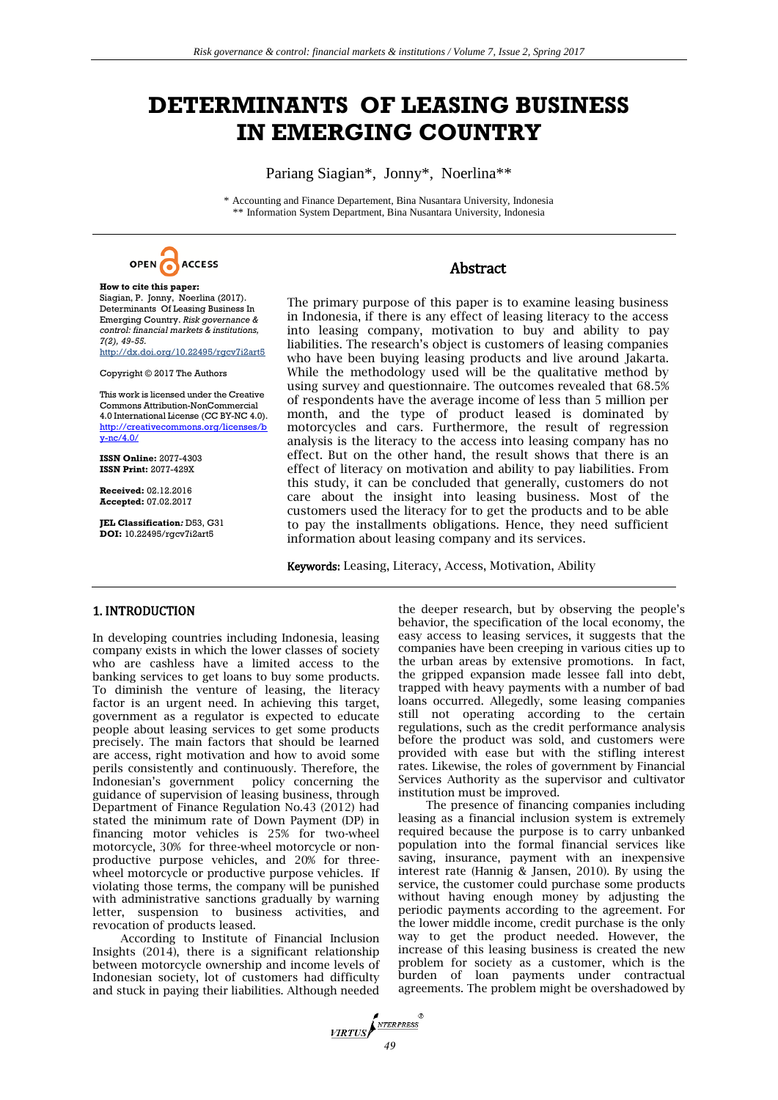# **DETERMINANTS OF LEASING BUSINESS IN EMERGING COUNTRY**

Pariang Siagian\*, Jonny\*, Noerlina\*\*

\* Accounting and Finance Departement, Bina Nusantara University, Indonesia \*\* Information System Department, Bina Nusantara University, Indonesia



# Abstract

**How to cite this paper:**  Siagian, P. Jonny, Noerlina (2017). Determinants Of Leasing Business In Emerging Country. *Risk governance & control: financial markets & institutions, 7(2), 49-55.* http://dx.doi.org/10.22495/rgcv7i2art5

Copyright © 2017 The Authors

This work is licensed under the Creative Commons Attribution-NonCommercial 4.0 International License (CC BY-NC 4.0). [http://creativecommons.org/licenses/b](http://creativecommons.org/licenses/by-nc/4.0/) [y-nc/4.0/](http://creativecommons.org/licenses/by-nc/4.0/)

**ISSN Online:** 2077-4303 **ISSN Print:** 2077-429X

**Received:** 02.12.2016 **Accepted:** 07.02.2017

**JEL Classification***:* D53, G31 **DOI:** 10.22495/rgcv7i2art5

The primary purpose of this paper is to examine leasing business in Indonesia, if there is any effect of leasing literacy to the access into leasing company, motivation to buy and ability to pay liabilities. The research's object is customers of leasing companies who have been buying leasing products and live around Jakarta. While the methodology used will be the qualitative method by using survey and questionnaire. The outcomes revealed that 68.5% of respondents have the average income of less than 5 million per month, and the type of product leased is dominated by motorcycles and cars. Furthermore, the result of regression analysis is the literacy to the access into leasing company has no effect. But on the other hand, the result shows that there is an effect of literacy on motivation and ability to pay liabilities. From this study, it can be concluded that generally, customers do not care about the insight into leasing business. Most of the customers used the literacy for to get the products and to be able to pay the installments obligations. Hence, they need sufficient information about leasing company and its services.

Keywords: Leasing, Literacy, Access, Motivation, Ability

## 1. INTRODUCTION

In developing countries including Indonesia, leasing company exists in which the lower classes of society who are cashless have a limited access to the banking services to get loans to buy some products. To diminish the venture of leasing, the literacy factor is an urgent need. In achieving this target, government as a regulator is expected to educate people about leasing services to get some products precisely. The main factors that should be learned are access, right motivation and how to avoid some perils consistently and continuously. Therefore, the Indonesian's government policy concerning the guidance of supervision of leasing business, through Department of Finance Regulation No.43 (2012) had stated the minimum rate of Down Payment (DP) in financing motor vehicles is 25% for two-wheel motorcycle, 30% for three-wheel motorcycle or nonproductive purpose vehicles, and 20% for threewheel motorcycle or productive purpose vehicles. If violating those terms, the company will be punished with administrative sanctions gradually by warning letter, suspension to business activities, and revocation of products leased.

According to Institute of Financial Inclusion Insights  $(2014)$ , there is a significant relationship between motorcycle ownership and income levels of Indonesian society, lot of customers had difficulty and stuck in paying their liabilities. Although needed

the deeper research, but by observing the people's behavior, the specification of the local economy, the easy access to leasing services, it suggests that the companies have been creeping in various cities up to the urban areas by extensive promotions. In fact, the gripped expansion made lessee fall into debt, trapped with heavy payments with a number of bad loans occurred. Allegedly, some leasing companies still not operating according to the certain regulations, such as the credit performance analysis before the product was sold, and customers were provided with ease but with the stifling interest rates. Likewise, the roles of government by Financial Services Authority as the supervisor and cultivator institution must be improved.

The presence of financing companies including leasing as a financial inclusion system is extremely required because the purpose is to carry unbanked population into the formal financial services like saving, insurance, payment with an inexpensive interest rate (Hannig & Jansen, 2010). By using the service, the customer could purchase some products without having enough money by adjusting the periodic payments according to the agreement. For the lower middle income, credit purchase is the only way to get the product needed. However, the increase of this leasing business is created the new problem for society as a customer, which is the burden of loan payments under contractual agreements. The problem might be overshadowed by

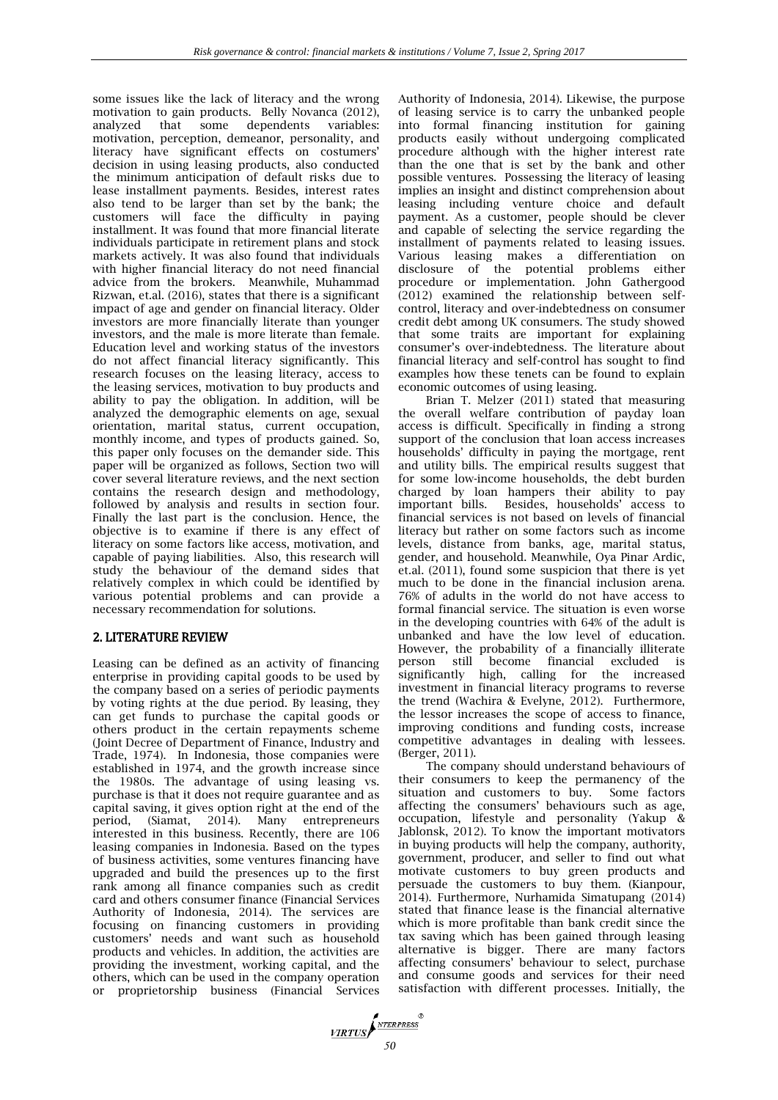some issues like the lack of literacy and the wrong motivation to gain products. Belly Novanca (2012), analyzed that some dependents variables: motivation, perception, demeanor, personality, and literacy have significant effects on costumers' decision in using leasing products, also conducted the minimum anticipation of default risks due to lease installment payments. Besides, interest rates also tend to be larger than set by the bank; the customers will face the difficulty in paying installment. It was found that more financial literate individuals participate in retirement plans and stock markets actively. It was also found that individuals with higher financial literacy do not need financial advice from the brokers. Meanwhile, Muhammad Rizwan, et.al. (2016), states that there is a significant impact of age and gender on financial literacy. Older investors are more financially literate than younger investors, and the male is more literate than female. Education level and working status of the investors do not affect financial literacy significantly. This research focuses on the leasing literacy, access to the leasing services, motivation to buy products and ability to pay the obligation. In addition, will be analyzed the demographic elements on age, sexual orientation, marital status, current occupation, monthly income, and types of products gained. So, this paper only focuses on the demander side. This paper will be organized as follows, Section two will cover several literature reviews, and the next section contains the research design and methodology, followed by analysis and results in section four. Finally the last part is the conclusion. Hence, the objective is to examine if there is any effect of literacy on some factors like access, motivation, and capable of paying liabilities. Also, this research will study the behaviour of the demand sides that relatively complex in which could be identified by various potential problems and can provide a necessary recommendation for solutions.

# 2. LITERATURE REVIEW

Leasing can be defined as an activity of financing enterprise in providing capital goods to be used by the company based on a series of periodic payments by voting rights at the due period. By leasing, they can get funds to purchase the capital goods or others product in the certain repayments scheme (Joint Decree of Department of Finance, Industry and Trade, 1974). In Indonesia, those companies were established in 1974, and the growth increase since the 1980s. The advantage of using leasing vs. purchase is that it does not require guarantee and as capital saving, it gives option right at the end of the period, (Siamat, 2014). Many entrepreneurs interested in this business. Recently, there are 106 leasing companies in Indonesia. Based on the types of business activities, some ventures financing have upgraded and build the presences up to the first rank among all finance companies such as credit card and others consumer finance (Financial Services Authority of Indonesia, 2014). The services are focusing on financing customers in providing customers' needs and want such as household products and vehicles. In addition, the activities are providing the investment, working capital, and the others, which can be used in the company operation or proprietorship business (Financial Services Authority of Indonesia, 2014). Likewise, the purpose of leasing service is to carry the unbanked people into formal financing institution for gaining products easily without undergoing complicated procedure although with the higher interest rate than the one that is set by the bank and other possible ventures. Possessing the literacy of leasing implies an insight and distinct comprehension about leasing including venture choice and default payment. As a customer, people should be clever and capable of selecting the service regarding the installment of payments related to leasing issues. Various leasing makes a differentiation on disclosure of the potential problems either procedure or implementation. John Gathergood (2012) examined the relationship between selfcontrol, literacy and over-indebtedness on consumer credit debt among UK consumers. The study showed that some traits are important for explaining consumer's over-indebtedness. The literature about financial literacy and self-control has sought to find examples how these tenets can be found to explain economic outcomes of using leasing.

Brian T. Melzer (2011) stated that measuring the overall welfare contribution of payday loan access is difficult. Specifically in finding a strong support of the conclusion that loan access increases households' difficulty in paying the mortgage, rent and utility bills. The empirical results suggest that for some low-income households, the debt burden charged by loan hampers their ability to pay important bills. Besides, households' access to financial services is not based on levels of financial literacy but rather on some factors such as income levels, distance from banks, age, marital status, gender, and household. Meanwhile, Oya Pinar Ardic, et.al. (2011), found some suspicion that there is yet much to be done in the financial inclusion arena. 76% of adults in the world do not have access to formal financial service. The situation is even worse in the developing countries with 64% of the adult is unbanked and have the low level of education. However, the probability of a financially illiterate person still become financial excluded is significantly high, calling for the increased investment in financial literacy programs to reverse the trend (Wachira & Evelyne, 2012). Furthermore, the lessor increases the scope of access to finance, improving conditions and funding costs, increase competitive advantages in dealing with lessees. (Berger, 2011).

The company should understand behaviours of their consumers to keep the permanency of the situation and customers to buy. Some factors affecting the consumers' behaviours such as age, occupation, lifestyle and personality (Yakup & Jablonsk, 2012). To know the important motivators in buying products will help the company, authority, government, producer, and seller to find out what motivate customers to buy green products and persuade the customers to buy them. (Kianpour, 2014). Furthermore, Nurhamida Simatupang (2014) stated that finance lease is the financial alternative which is more profitable than bank credit since the tax saving which has been gained through leasing alternative is bigger. There are many factors affecting consumers' behaviour to select, purchase and consume goods and services for their need satisfaction with different processes. Initially, the

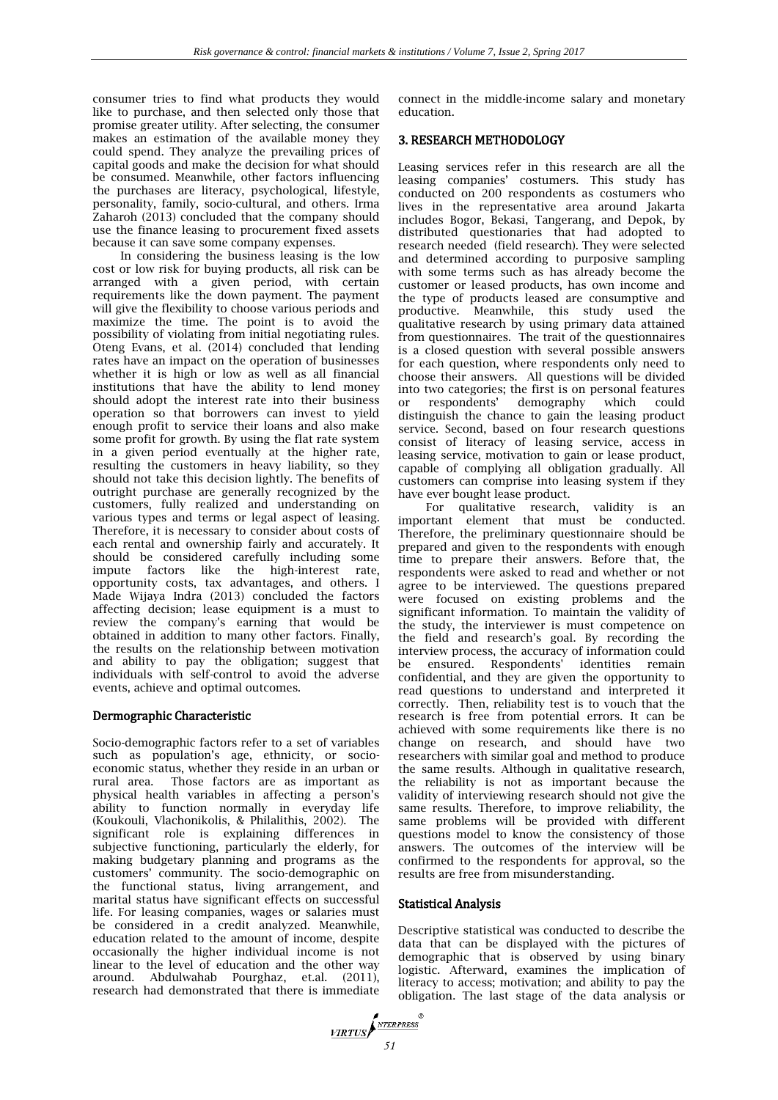consumer tries to find what products they would like to purchase, and then selected only those that promise greater utility. After selecting, the consumer makes an estimation of the available money they could spend. They analyze the prevailing prices of capital goods and make the decision for what should be consumed. Meanwhile, other factors influencing the purchases are literacy, psychological, lifestyle, personality, family, socio-cultural, and others. Irma Zaharoh (2013) concluded that the company should use the finance leasing to procurement fixed assets because it can save some company expenses.

In considering the business leasing is the low cost or low risk for buying products, all risk can be arranged with a given period, with certain requirements like the down payment. The payment will give the flexibility to choose various periods and maximize the time. The point is to avoid the possibility of violating from initial negotiating rules. Oteng Evans, et al. (2014) concluded that lending rates have an impact on the operation of businesses whether it is high or low as well as all financial institutions that have the ability to lend money should adopt the interest rate into their business operation so that borrowers can invest to yield enough profit to service their loans and also make some profit for growth. By using the flat rate system in a given period eventually at the higher rate, resulting the customers in heavy liability, so they should not take this decision lightly. The benefits of outright purchase are generally recognized by the customers, fully realized and understanding on various types and terms or legal aspect of leasing. Therefore, it is necessary to consider about costs of each rental and ownership fairly and accurately. It should be considered carefully including some impute factors like the high-interest rate, opportunity costs, tax advantages, and others. I Made Wijaya Indra (2013) concluded the factors affecting decision; lease equipment is a must to review the company's earning that would be obtained in addition to many other factors. Finally, the results on the relationship between motivation and ability to pay the obligation; suggest that individuals with self-control to avoid the adverse events, achieve and optimal outcomes.

## Dermographic Characteristic

Socio-demographic factors refer to a set of variables such as population's age, ethnicity, or socioeconomic status, whether they reside in an urban or rural area. Those factors are as important as physical health variables in affecting a person's ability to function normally in everyday life (Koukouli, Vlachonikolis, & Philalithis, 2002). The significant role is explaining differences in subjective functioning, particularly the elderly, for making budgetary planning and programs as the customers' community. The socio-demographic on the functional status, living arrangement, and marital status have significant effects on successful life. For leasing companies, wages or salaries must be considered in a credit analyzed. Meanwhile, education related to the amount of income, despite occasionally the higher individual income is not linear to the level of education and the other way around. Abdulwahab Pourghaz, et.al. (2011), research had demonstrated that there is immediate

connect in the middle-income salary and monetary education.

## 3. RESEARCH METHODOLOGY

Leasing services refer in this research are all the leasing companies' costumers. This study has conducted on 200 respondents as costumers who lives in the representative area around Jakarta includes Bogor, Bekasi, Tangerang, and Depok, by distributed questionaries that had adopted to research needed (field research). They were selected and determined according to purposive sampling with some terms such as has already become the customer or leased products, has own income and the type of products leased are consumptive and productive. Meanwhile, this study used the qualitative research by using primary data attained from questionnaires. The trait of the questionnaires is a closed question with several possible answers for each question, where respondents only need to choose their answers. All questions will be divided into two categories; the first is on personal features or respondents' demography which could distinguish the chance to gain the leasing product service. Second, based on four research questions consist of literacy of leasing service, access in leasing service, motivation to gain or lease product, capable of complying all obligation gradually. All customers can comprise into leasing system if they have ever bought lease product.

For qualitative research, validity is an important element that must be conducted. Therefore, the preliminary questionnaire should be prepared and given to the respondents with enough time to prepare their answers. Before that, the respondents were asked to read and whether or not agree to be interviewed. The questions prepared were focused on existing problems and the significant information. To maintain the validity of the study, the interviewer is must competence on the field and research's goal. By recording the interview process, the accuracy of information could be ensured. Respondents' confidential, and they are given the opportunity to read questions to understand and interpreted it correctly. Then, reliability test is to vouch that the research is free from potential errors. It can be achieved with some requirements like there is no change on research, and should have two researchers with similar goal and method to produce the same results. Although in qualitative research, the reliability is not as important because the validity of interviewing research should not give the same results. Therefore, to improve reliability, the same problems will be provided with different questions model to know the consistency of those answers. The outcomes of the interview will be confirmed to the respondents for approval, so the results are free from misunderstanding.

## Statistical Analysis

Descriptive statistical was conducted to describe the data that can be displayed with the pictures of demographic that is observed by using binary logistic. Afterward, examines the implication of literacy to access; motivation; and ability to pay the obligation. The last stage of the data analysis or

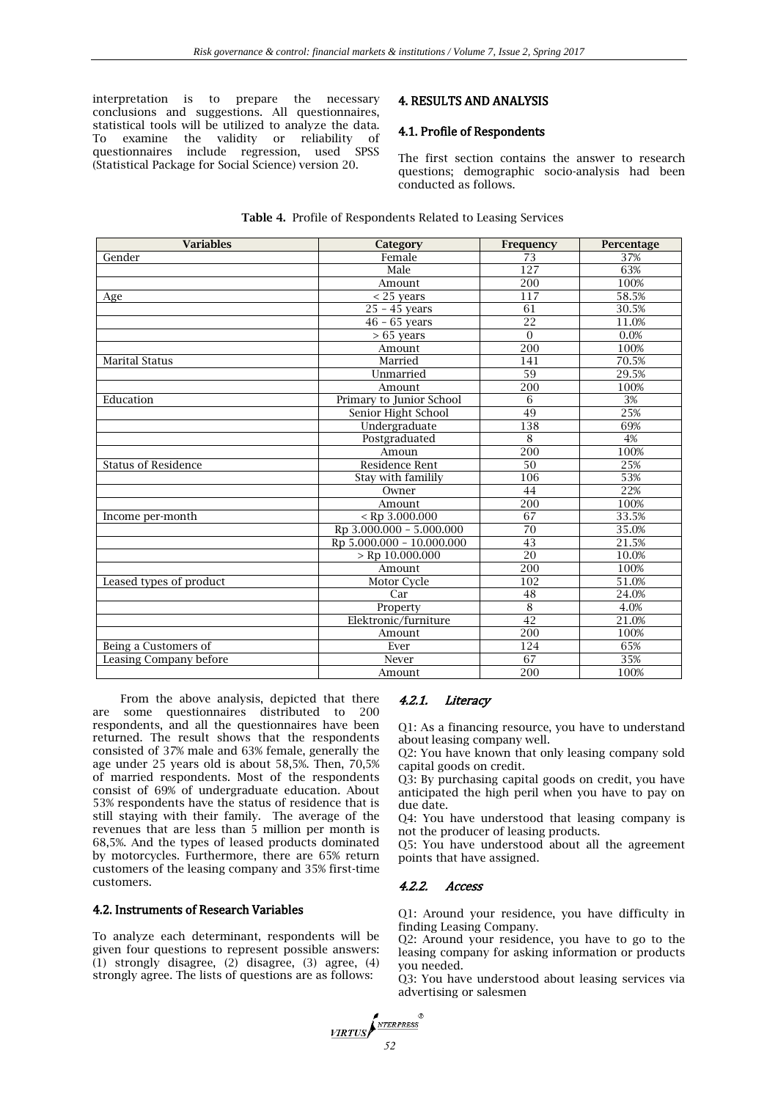interpretation is to prepare the necessary conclusions and suggestions. All questionnaires, statistical tools will be utilized to analyze the data. To examine the validity or reliability of questionnaires include regression, used SPSS (Statistical Package for Social Science) version 20.

# 4. RESULTS AND ANALYSIS

# 4.1. Profile of Respondents

The first section contains the answer to research questions; demographic socio-analysis had been conducted as follows.

| <b>Variables</b>           | Category                  | Frequency       | Percentage |
|----------------------------|---------------------------|-----------------|------------|
| Gender                     | Female                    | 73              | 37%        |
|                            | Male                      | 127             | 63%        |
|                            | Amount                    | 200             | 100%       |
| Age                        | $<$ 25 years              | 117             | 58.5%      |
|                            | $25 - 45$ years           | 61              | 30.5%      |
|                            | $46 - 65$ years           | 22              | 11.0%      |
|                            | $> 65$ years              | $\Omega$        | 0.0%       |
|                            | Amount                    | 200             | 100%       |
| <b>Marital Status</b>      | Married                   | 141             | 70.5%      |
|                            | Unmarried                 | 59              | 29.5%      |
|                            | Amount                    | 200             | 100%       |
| Education                  | Primary to Junior School  | 6               | 3%         |
|                            | Senior Hight School       | 49              | 25%        |
|                            | Undergraduate             | 138             | 69%        |
|                            | Postgraduated             | 8               | 4%         |
|                            | Amoun                     | 200             | 100%       |
| <b>Status of Residence</b> | Residence Rent            | 50              | 25%        |
|                            | Stay with familily        | 106             | 53%        |
|                            | Owner                     | 44              | 22%        |
|                            | Amount                    | 200             | 100%       |
| Income per-month           | $<$ Rp 3.000.000          | 67              | 33.5%      |
|                            | Rp 3.000.000 - 5.000.000  | 70              | 35.0%      |
|                            | Rp 5.000.000 - 10.000.000 | 43              | 21.5%      |
|                            | $>$ Rp 10.000.000         | $\overline{20}$ | 10.0%      |
|                            | Amount                    | 200             | 100%       |
| Leased types of product    | Motor Cycle               | 102             | 51.0%      |
|                            | Car                       | 48              | 24.0%      |
|                            | Property                  | $\overline{8}$  | 4.0%       |
|                            | Elektronic/furniture      | 42              | 21.0%      |
|                            | Amount                    | 200             | 100%       |
| Being a Customers of       | Ever                      | 124             | 65%        |
| Leasing Company before     | Never                     | 67              | 35%        |
|                            | Amount                    | 200             | 100%       |

**Table 4.** Profile of Respondents Related to Leasing Services

From the above analysis, depicted that there are some questionnaires distributed to 200 respondents, and all the questionnaires have been returned. The result shows that the respondents consisted of 37% male and 63% female, generally the age under 25 years old is about 58,5%. Then, 70,5% of married respondents. Most of the respondents consist of 69% of undergraduate education. About 53% respondents have the status of residence that is still staying with their family. The average of the revenues that are less than 5 million per month is 68,5%. And the types of leased products dominated by motorcycles. Furthermore, there are 65% return customers of the leasing company and 35% first-time customers.

## 4.2. Instruments of Research Variables

To analyze each determinant, respondents will be given four questions to represent possible answers: (1) strongly disagree, (2) disagree, (3) agree, (4) strongly agree. The lists of questions are as follows:

## 4.2.1. Literacy

Q1: As a financing resource, you have to understand about leasing company well.

Q2: You have known that only leasing company sold capital goods on credit.

Q3: By purchasing capital goods on credit, you have anticipated the high peril when you have to pay on due date.

Q4: You have understood that leasing company is not the producer of leasing products.

Q5: You have understood about all the agreement points that have assigned.

#### 4.2.2. Access

Q1: Around your residence, you have difficulty in finding Leasing Company.

Q2: Around your residence, you have to go to the leasing company for asking information or products you needed.

Q3: You have understood about leasing services via advertising or salesmen

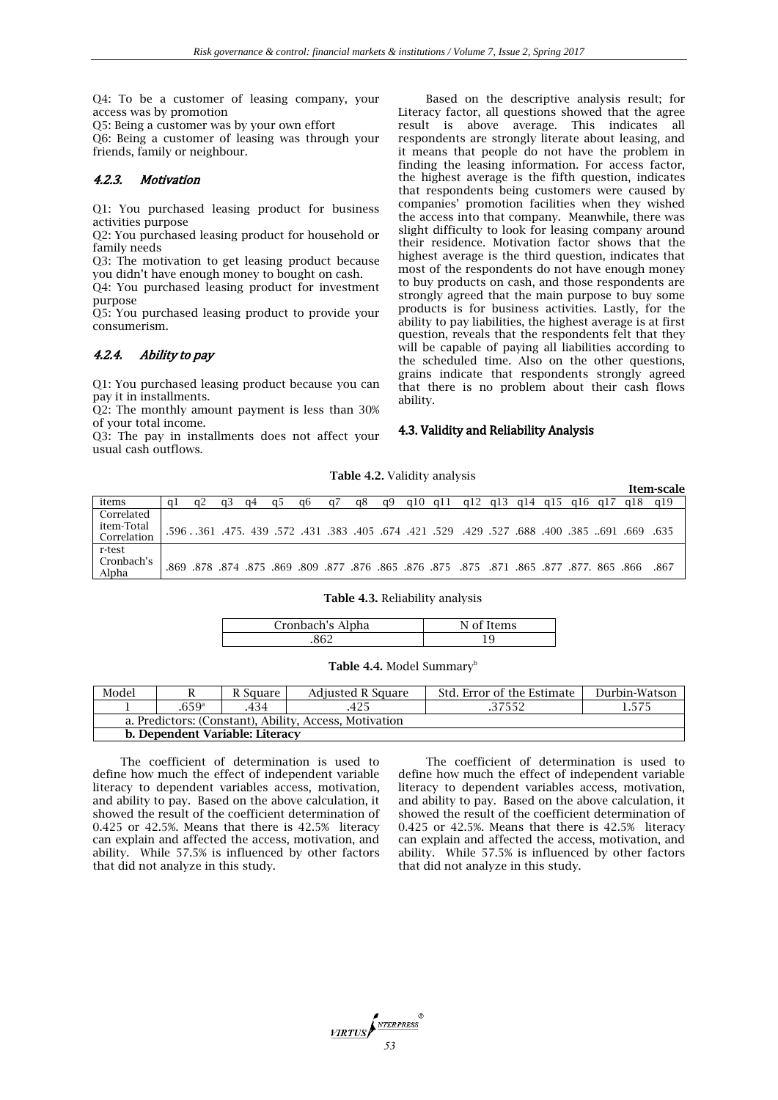Q4: To be a customer of leasing company, your access was by promotion

Q5: Being a customer was by your own effort

Q6: Being a customer of leasing was through your friends, family or neighbour.

## 4.2.3. Motivation

Q1: You purchased leasing product for business activities purpose

Q2: You purchased leasing product for household or family needs

Q3: The motivation to get leasing product because you didn't have enough money to bought on cash.

Q4: You purchased leasing product for investment purpose

Q5: You purchased leasing product to provide your consumerism.

## 4.2.4. Ability to pay

Q1: You purchased leasing product because you can pay it in installments.

Q2: The monthly amount payment is less than 30% of your total income.

Q3: The pay in installments does not affect your usual cash outflows.

Based on the descriptive analysis result; for Literacy factor, all questions showed that the agree result is above average. This indicates all respondents are strongly literate about leasing, and it means that people do not have the problem in finding the leasing information. For access factor, the highest average is the fifth question, indicates that respondents being customers were caused by companies' promotion facilities when they wished the access into that company. Meanwhile, there was slight difficulty to look for leasing company around their residence. Motivation factor shows that the highest average is the third question, indicates that most of the respondents do not have enough money to buy products on cash, and those respondents are strongly agreed that the main purpose to buy some products is for business activities. Lastly, for the ability to pay liabilities, the highest average is at first question, reveals that the respondents felt that they will be capable of paying all liabilities according to the scheduled time. Also on the other questions, grains indicate that respondents strongly agreed that there is no problem about their cash flows ability.

#### 4.3. Validity and Reliability Analysis

**Table 4.2.** Validity analysis

|                           |  |    |    |    |    |  |                                                                                                          |  |  |     | Item-scale |
|---------------------------|--|----|----|----|----|--|----------------------------------------------------------------------------------------------------------|--|--|-----|------------|
| items                     |  | a4 | a6 | a8 | a9 |  | g10 g11 g12 g13 g14 g15 g16 g17                                                                          |  |  | a18 | a19        |
| Correlated                |  |    |    |    |    |  |                                                                                                          |  |  |     |            |
| item-Total<br>Correlation |  |    |    |    |    |  | 635. 699. 691. 674. 688. 674. 689. 527. 429. 529. 421. 674. 689. 674. 596. 579. 439. 475. 691. 596. 579. |  |  |     |            |
| r-test                    |  |    |    |    |    |  |                                                                                                          |  |  |     |            |
| Cronbach's<br>Alpha       |  |    |    |    |    |  | .865 .877 .877 .875 .871 .865 .877 .878 .875 .875 .875 .879 .878 .879 .878 .879 .879 .879                |  |  |     | -867       |

#### **Table 4.3.** Reliability analysis

| Cronbach's Alpha | ρmς |
|------------------|-----|
|                  |     |

**Table 4.4.** Model Summary<sup>b</sup>

| Model                                                  |                   | R Square | Adjusted R Square | Std. Error of the Estimate | Durbin-Watson |  |  |  |
|--------------------------------------------------------|-------------------|----------|-------------------|----------------------------|---------------|--|--|--|
|                                                        | .659 <sup>a</sup> | .434     | .425              | .37552                     |               |  |  |  |
| a. Predictors: (Constant), Ability, Access, Motivation |                   |          |                   |                            |               |  |  |  |
| b. Dependent Variable: Literacy                        |                   |          |                   |                            |               |  |  |  |

The coefficient of determination is used to define how much the effect of independent variable literacy to dependent variables access, motivation, and ability to pay. Based on the above calculation, it showed the result of the coefficient determination of 0.425 or 42.5%. Means that there is 42.5% literacy can explain and affected the access, motivation, and ability. While 57.5% is influenced by other factors that did not analyze in this study.

The coefficient of determination is used to define how much the effect of independent variable literacy to dependent variables access, motivation, and ability to pay. Based on the above calculation, it showed the result of the coefficient determination of 0.425 or 42.5%. Means that there is 42.5% literacy can explain and affected the access, motivation, and ability. While 57.5% is influenced by other factors that did not analyze in this study.

**VIRTUS**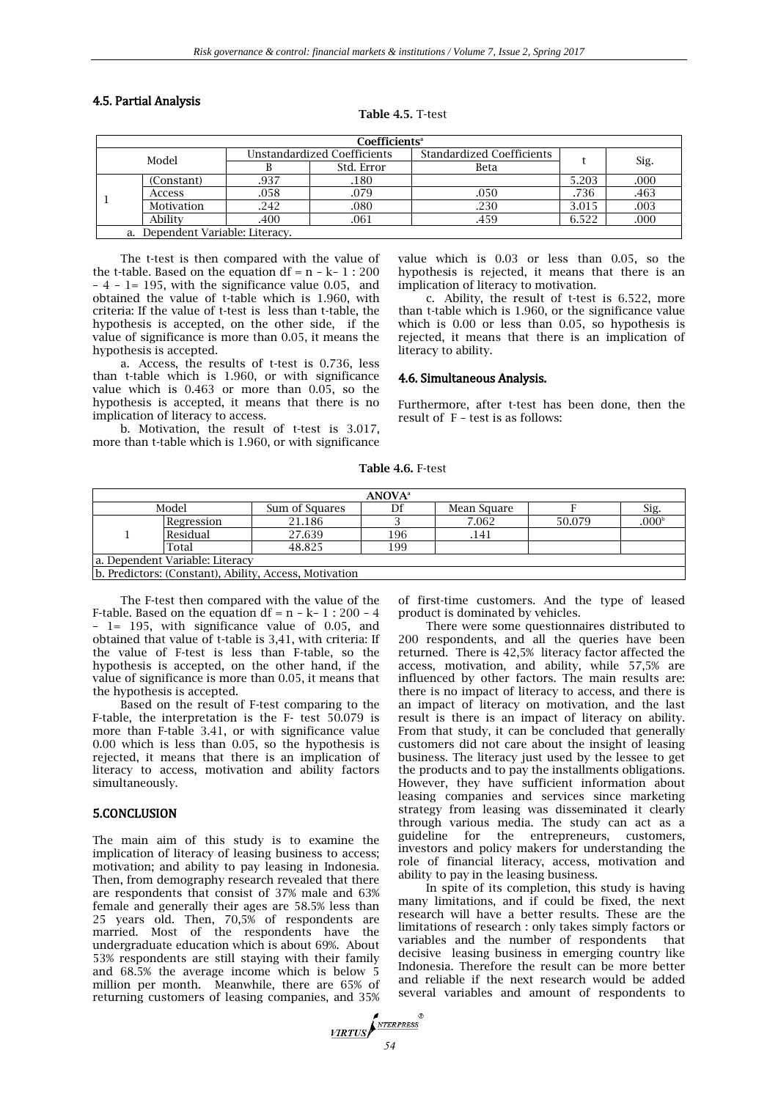#### 4.5. Partial Analysis

**Table 4.5.** T-test

| <b>Coefficients</b> <sup>a</sup> |                                     |      |                                                                 |      |       |      |  |  |  |
|----------------------------------|-------------------------------------|------|-----------------------------------------------------------------|------|-------|------|--|--|--|
|                                  | Model                               |      | <b>Unstandardized Coefficients</b><br>Standardized Coefficients |      |       |      |  |  |  |
|                                  |                                     |      | Std. Error                                                      | Beta |       | Sig. |  |  |  |
|                                  | (Constant)                          | .937 | .180                                                            |      | 5.203 | .000 |  |  |  |
|                                  | Access                              | .058 | .079                                                            | .050 | .736  | .463 |  |  |  |
|                                  | Motivation                          | .242 | .080                                                            | .230 | 3.015 | .003 |  |  |  |
|                                  | Ability                             | .400 | .061                                                            | .459 | 6.522 | .000 |  |  |  |
|                                  | Dependent Variable: Literacy.<br>а. |      |                                                                 |      |       |      |  |  |  |

The t-test is then compared with the value of the t-table. Based on the equation df =  $n - k - 1$  : 200 – 4 – 1= 195, with the significance value 0.05, and obtained the value of t-table which is 1.960, with criteria: If the value of t-test is less than t-table, the hypothesis is accepted, on the other side, if the value of significance is more than 0.05, it means the hypothesis is accepted.

a. Access, the results of t-test is 0.736, less than t-table which is 1.960, or with significance value which is 0.463 or more than 0.05, so the hypothesis is accepted, it means that there is no implication of literacy to access.

b. Motivation, the result of t-test is 3.017, more than t-table which is 1.960, or with significance value which is 0.03 or less than 0.05, so the hypothesis is rejected, it means that there is an implication of literacy to motivation.

c. Ability, the result of t-test is 6.522, more than t-table which is 1.960, or the significance value which is 0.00 or less than 0.05, so hypothesis is rejected, it means that there is an implication of literacy to ability.

#### 4.6. Simultaneous Analysis.

Furthermore, after t-test has been done, then the result of F – test is as follows:

**Table 4.6.** F-test

| ANOVA <sup>a</sup>              |            |                                                                  |     |             |        |                   |  |  |  |
|---------------------------------|------------|------------------------------------------------------------------|-----|-------------|--------|-------------------|--|--|--|
|                                 | Model      | Sum of Squares                                                   | Df  | Mean Square |        | Sig.              |  |  |  |
|                                 | Regression | 21.186                                                           |     | 7.062       | 50.079 | .000 <sup>b</sup> |  |  |  |
|                                 | Residual   | 27.639                                                           | 196 | .141        |        |                   |  |  |  |
|                                 | Total      | 48.825                                                           | 199 |             |        |                   |  |  |  |
| a. Dependent Variable: Literacy |            |                                                                  |     |             |        |                   |  |  |  |
|                                 |            | <sup>1</sup> Ib Predictors: (Constant) Ability Access Motivation |     |             |        |                   |  |  |  |

b. Predictors: (Constant), Ability, Access, Motivation

The F-test then compared with the value of the F-table. Based on the equation df =  $n - k - 1$  : 200 – 4 – 1= 195, with significance value of 0.05, and obtained that value of t-table is 3,41, with criteria: If the value of F-test is less than F-table, so the hypothesis is accepted, on the other hand, if the value of significance is more than 0.05, it means that the hypothesis is accepted.

Based on the result of F-test comparing to the F-table, the interpretation is the F- test 50.079 is more than F-table 3.41, or with significance value 0.00 which is less than 0.05, so the hypothesis is rejected, it means that there is an implication of literacy to access, motivation and ability factors simultaneously.

#### 5.CONCLUSION

The main aim of this study is to examine the implication of literacy of leasing business to access; motivation; and ability to pay leasing in Indonesia. Then, from demography research revealed that there are respondents that consist of 37% male and 63% female and generally their ages are 58.5% less than 25 years old. Then, 70,5% of respondents are married. Most of the respondents have the undergraduate education which is about 69%. About 53% respondents are still staying with their family and 68.5% the average income which is below 5 million per month. Meanwhile, there are 65% of returning customers of leasing companies, and 35%

of first-time customers. And the type of leased product is dominated by vehicles.

There were some questionnaires distributed to 200 respondents, and all the queries have been returned. There is 42,5% literacy factor affected the access, motivation, and ability, while 57,5% are influenced by other factors. The main results are: there is no impact of literacy to access, and there is an impact of literacy on motivation, and the last result is there is an impact of literacy on ability. From that study, it can be concluded that generally customers did not care about the insight of leasing business. The literacy just used by the lessee to get the products and to pay the installments obligations. However, they have sufficient information about leasing companies and services since marketing strategy from leasing was disseminated it clearly through various media. The study can act as a guideline for the entrepreneurs, customers, investors and policy makers for understanding the role of financial literacy, access, motivation and ability to pay in the leasing business.

In spite of its completion, this study is having many limitations, and if could be fixed, the next research will have a better results. These are the limitations of research : only takes simply factors or variables and the number of respondents that decisive leasing business in emerging country like Indonesia. Therefore the result can be more better and reliable if the next research would be added several variables and amount of respondents to